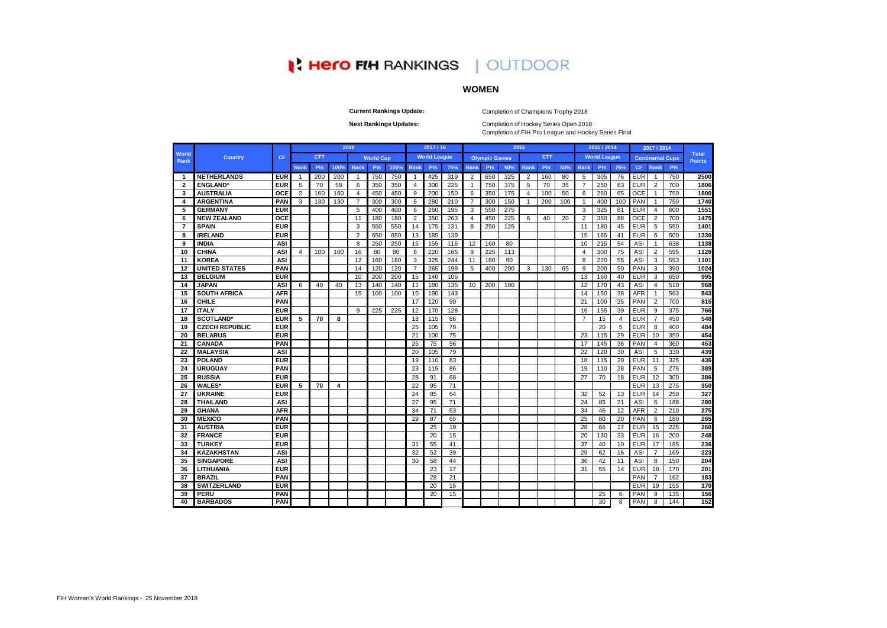# **I' Hero FIH RANKINGS** | OUTDOOR

## **WOMEN**

**Current Rankings Update:**

Completion of Champions Trophy 2018

**Next Rankings Updates:** 

Completion of FIH Pro League and Hockey Series Final Completion of Hockey Series Open 2018

|                         |                       |            |                |            |      | 2018           |                  |      |                | 2017 / 16           |     |                |                      |     | 2016           |            |     |                | 2015 / 2014         |     |            | 2017 / 2014    |                         |                               |
|-------------------------|-----------------------|------------|----------------|------------|------|----------------|------------------|------|----------------|---------------------|-----|----------------|----------------------|-----|----------------|------------|-----|----------------|---------------------|-----|------------|----------------|-------------------------|-------------------------------|
| World<br>Rank           | <b>Country</b>        | <b>CF</b>  |                | <b>CTT</b> |      |                | <b>World Cup</b> |      |                | <b>World League</b> |     |                | <b>Olympic Games</b> |     |                | <b>CTT</b> |     |                | <b>World League</b> |     |            |                | <b>Continental Cups</b> | <b>Total</b><br><b>Points</b> |
|                         |                       |            | Rank           | Pts        | 100% | Rank           | Pts              | 100% | Rank           | Pts                 | 75% | Rank           | Pts                  | 50% | Rank           | Pts        | 50% | <b>Rank</b>    | Pts                 | 25% | <b>CF</b>  | Rank           | <b>Pts</b>              |                               |
| -1                      | <b>NETHERLANDS</b>    | <b>EUR</b> | -1             | 200        | 200  | -1             | 750              | 750  | $\overline{1}$ | 425                 | 319 | $\overline{2}$ | 650                  | 325 | 2              | 160        | 80  | 5              | 305                 | 76  | <b>EUR</b> | -1             | 750                     | 2500                          |
| $\overline{\mathbf{2}}$ | <b>ENGLAND</b>        | <b>EUR</b> | 5              | 70         | 58   | 6              | 350              | 350  | $\overline{4}$ | 300                 | 225 | $\mathbf{1}$   | 750                  | 375 | 5              | 70         | 35  | $\overline{7}$ | 250                 | 63  | EUR        | $\overline{2}$ | 700                     | 1806                          |
| 3                       | <b>AUSTRALIA</b>      | OCE        | $\overline{2}$ | 160        | 160  | $\overline{4}$ | 450              | 450  | 9              | 200                 | 150 | 6              | 350                  | 175 | $\overline{4}$ | 100        | 50  | 6              | 260                 | 65  | <b>OCE</b> | -1             | 750                     | 1800                          |
| $\overline{\mathbf{A}}$ | <b>ARGENTINA</b>      | PAN        | 3              | 130        | 130  | $\overline{7}$ | 300              | 300  | 5              | 280                 | 210 | $\overline{7}$ | 300                  | 150 | $\mathbf{1}$   | 200        | 100 | $\overline{1}$ | 400                 | 100 | PAN        | $\overline{1}$ | 750                     | 1740                          |
| 5                       | <b>GERMANY</b>        | <b>EUR</b> |                |            |      | 5              | 400              | 400  | 6              | 260                 | 195 | 3              | 550                  | 275 |                |            |     | 3              | 325                 | 81  | <b>EUR</b> | $\overline{4}$ | 600                     | 1551                          |
| 6                       | <b>NEW ZEALAND</b>    | OCE        |                |            |      | 11             | 180              | 180  | $\overline{2}$ | 350                 | 263 | 4              | 450                  | 225 | 6              | 40         | 20  | 2              | 350                 | 88  | OCE        | $\overline{2}$ | 700                     | 1475                          |
| $\overline{7}$          | <b>SPAIN</b>          | <b>EUR</b> |                |            |      | 3              | 550              | 550  | 14             | 175                 | 131 | 8              | 250                  | 125 |                |            |     | 11             | 180                 | 45  | <b>EUR</b> | 5              | 550                     | 1401                          |
| 8                       | <b>IRELAND</b>        | <b>EUR</b> |                |            |      | $\overline{2}$ | 650              | 650  | 13             | 185                 | 139 |                |                      |     |                |            |     | 15             | 165                 | 41  | <b>EUR</b> | 6              | 500                     | 1330                          |
| 9                       | <b>INDIA</b>          | ASI        |                |            |      | 8              | 250              | 250  | 16             | 155                 | 116 | 12             | 160                  | 80  |                |            |     | 10             | 215                 | 54  | ASI        | $\mathbf{1}$   | 638                     | 1138                          |
| 10                      | <b>CHINA</b>          | <b>ASI</b> | 4              | 100        | 100  | 16             | 80               | 80   | 8              | 220                 | 165 | 9              | 225                  | 113 |                |            |     | $\overline{4}$ | 300                 | 75  | ASI        | $\overline{2}$ | 595                     | 1128                          |
| 11                      | <b>KOREA</b>          | ASI        |                |            |      | 12             | 160              | 160  | 3              | 325                 | 244 | 11             | 180                  | 90  |                |            |     | 8              | 220                 | 55  | ASI        | 3              | 553                     | 1101                          |
| 12                      | <b>UNITED STATES</b>  | PAN        |                |            |      | 14             | 120              | 120  | $\overline{7}$ | 265                 | 199 | 5              | 400                  | 200 | 3              | 130        | 65  | 9              | 200                 | 50  | PAN        | 3              | 390                     | 1024                          |
| 13                      | <b>BELGIUM</b>        | <b>EUR</b> |                |            |      | 10             | 200              | 200  | 15             | 140                 | 105 |                |                      |     |                |            |     | 13             | 160                 | 40  | <b>EUR</b> | 3              | 650                     | 995                           |
| 14                      | <b>JAPAN</b>          | ASI        | 6              | 40         | 40   | 13             | 140              | 140  | 11             | 180                 | 135 | 10             | 200                  | 100 |                |            |     | 12             | 170                 | 43  | ASI        | $\overline{4}$ | 510                     | 968                           |
| 15                      | <b>SOUTH AFRICA</b>   | <b>AFR</b> |                |            |      | 15             | 100              | 100  | 10             | 190                 | 143 |                |                      |     |                |            |     | 14             | 150                 | 38  | AFR        | -1             | 563                     | 843                           |
| 16                      | <b>CHILE</b>          | PAN        |                |            |      |                |                  |      | 17             | 120                 | 90  |                |                      |     |                |            |     | 21             | 100                 | 25  | PAN        | $\overline{2}$ | 700                     | 815                           |
| 17                      | <b>ITALY</b>          | <b>EUR</b> |                |            |      | 9              | 225              | 225  | 12             | 170                 | 128 |                |                      |     |                |            |     | 16             | 155                 | 39  | <b>EUR</b> | 9              | 375                     | 766                           |
| 18                      | <b>SCOTLAND*</b>      | <b>EUR</b> | 5              | 70         | 8    |                |                  |      | 18             | 115                 | 86  |                |                      |     |                |            |     | $\overline{7}$ | 15                  | 4   | <b>EUR</b> | $\overline{7}$ | 450                     | 548                           |
| 19                      | <b>CZECH REPUBLIC</b> | <b>EUR</b> |                |            |      |                |                  |      | 25             | 105                 | 79  |                |                      |     |                |            |     |                | 20                  | 5   | EUR        | 8              | 400                     | 484                           |
| 20                      | <b>BELARUS</b>        | <b>EUR</b> |                |            |      |                |                  |      | 21             | 100                 | 75  |                |                      |     |                |            |     | 23             | 115                 | 29  | <b>EUR</b> | 10             | 350                     | 454                           |
| 21                      | CANADA                | PAN        |                |            |      |                |                  |      | 26             | 75                  | 56  |                |                      |     |                |            |     | 17             | 145                 | 36  | PAN        | $\overline{4}$ | 360                     | 453                           |
| 22                      | <b>MALAYSIA</b>       | <b>ASI</b> |                |            |      |                |                  |      | 20             | 105                 | 79  |                |                      |     |                |            |     | 22             | 120                 | 30  | ASI        | 5              | 330                     | 439                           |
| 23                      | <b>POLAND</b>         | <b>EUR</b> |                |            |      |                |                  |      | 19             | 110                 | 83  |                |                      |     |                |            |     | 18             | 115                 | 29  | <b>EUR</b> | 11             | 325                     | 436                           |
| 24                      | <b>URUGUAY</b>        | PAN        |                |            |      |                |                  |      | 23             | 115                 | 86  |                |                      |     |                |            |     | 19             | 110                 | 28  | PAN        | 5              | 275                     | 389                           |
| 25                      | <b>RUSSIA</b>         | <b>EUR</b> |                |            |      |                |                  |      | 28             | 91                  | 68  |                |                      |     |                |            |     | 27             | 70                  | 18  | <b>EUR</b> | 12             | 300                     | 386                           |
| 26                      | <b>WALES*</b>         | <b>EUR</b> | 5              | 70         | 4    |                |                  |      | 22             | 95                  | 71  |                |                      |     |                |            |     |                |                     |     | EUR        | 13             | 275                     | 350                           |
| 27                      | <b>UKRAINE</b>        | <b>EUR</b> |                |            |      |                |                  |      | 24             | 85                  | 64  |                |                      |     |                |            |     | 32             | 52                  | 13  | EUR        | 14             | 250                     | 327                           |
| 28                      | <b>THAILAND</b>       | <b>ASI</b> |                |            |      |                |                  |      | 27             | 95                  | 71  |                |                      |     |                |            |     | 24             | 85                  | 21  | ASI        | 6              | 188                     | 280                           |
| 29                      | <b>GHANA</b>          | <b>AFR</b> |                |            |      |                |                  |      | 34             | 71                  | 53  |                |                      |     |                |            |     | 34             | 46                  | 12  | <b>AFR</b> | $\overline{2}$ | 210                     | 275                           |
| 30                      | <b>MEXICO</b>         | PAN        |                |            |      |                |                  |      | 29             | 87                  | 65  |                |                      |     |                |            |     | 25             | 80                  | 20  | PAN        | 6              | 180                     | 265                           |
| 31                      | <b>AUSTRIA</b>        | <b>EUR</b> |                |            |      |                |                  |      |                | 25                  | 19  |                |                      |     |                |            |     | 28             | 66                  | 17  | <b>EUR</b> | 15             | 225                     | 260                           |
| 32                      | <b>FRANCE</b>         | <b>EUR</b> |                |            |      |                |                  |      |                | 20                  | 15  |                |                      |     |                |            |     | 20             | 130                 | 33  | <b>EUR</b> | 16             | 200                     | 248                           |
| 33                      | <b>TURKEY</b>         | <b>EUR</b> |                |            |      |                |                  |      | 31             | 55                  | 41  |                |                      |     |                |            |     | 37             | 40                  | 10  | <b>EUR</b> | 17             | 185                     | 236                           |
| 34                      | <b>KAZAKHSTAN</b>     | ASI        |                |            |      |                |                  |      | 32             | 52                  | 39  |                |                      |     |                |            |     | 29             | 62                  | 16  | ASI        | $\overline{7}$ | 169                     | 223                           |
| 35                      | <b>SINGAPORE</b>      | <b>ASI</b> |                |            |      |                |                  |      | 30             | 58                  | 44  |                |                      |     |                |            |     | 36             | 42                  | 11  | ASI        | 8              | 150                     | 204                           |
| 36                      | <b>LITHUANIA</b>      | <b>EUR</b> |                |            |      |                |                  |      |                | 23                  | 17  |                |                      |     |                |            |     | 31             | 55                  | 14  | <b>EUR</b> | 18             | 170                     | 201                           |
| 37                      | <b>BRAZIL</b>         | PAN        |                |            |      |                |                  |      |                | 28                  | 21  |                |                      |     |                |            |     |                |                     |     | PAN        | $\overline{7}$ | 162                     | 183                           |
| 38                      | <b>SWITZERLAND</b>    | <b>EUR</b> |                |            |      |                |                  |      |                | 20                  | 15  |                |                      |     |                |            |     |                |                     |     | <b>EUR</b> | 19             | 155                     | 170                           |
| 39                      | PERU                  | PAN        |                |            |      |                |                  |      |                | 20                  | 15  |                |                      |     |                |            |     |                | 25                  | 6   | PAN        | 9              | 135                     | 156                           |
| 40                      | <b>BARBADOS</b>       | PAN        |                |            |      |                |                  |      |                |                     |     |                |                      |     |                |            |     |                | 30                  | 8   | PAN        | 8              | 144                     | 152                           |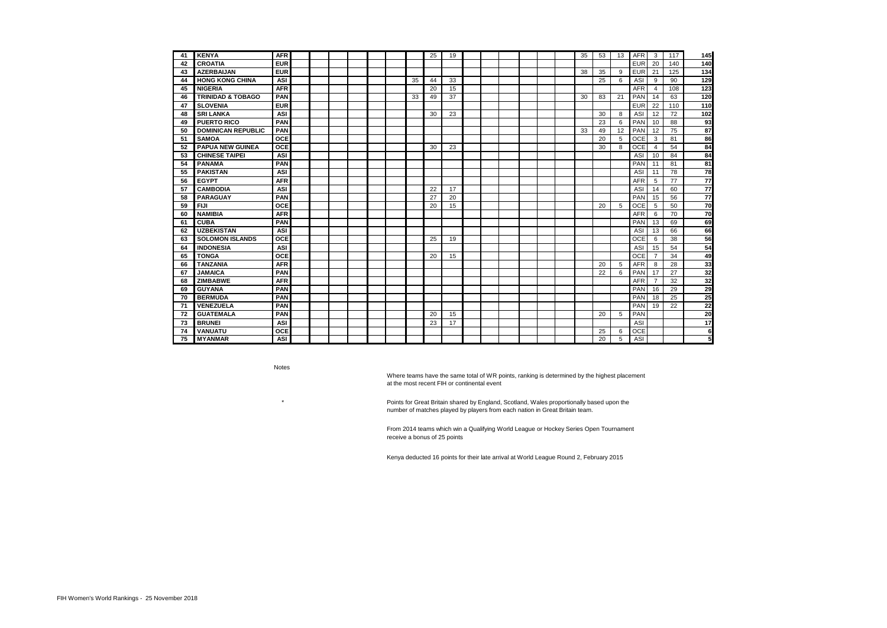| 41 | <b>KENYA</b>                 | <b>AFR</b> |  |  |  |    | 25 | 19 |  |  |  | 35 | 53 | 13 | <b>AFR</b> | 3              | 117 | 145              |
|----|------------------------------|------------|--|--|--|----|----|----|--|--|--|----|----|----|------------|----------------|-----|------------------|
| 42 | <b>CROATIA</b>               | <b>EUR</b> |  |  |  |    |    |    |  |  |  |    |    |    | <b>EUR</b> | 20             | 140 | 140              |
| 43 | <b>AZERBAIJAN</b>            | <b>EUR</b> |  |  |  |    |    |    |  |  |  | 38 | 35 | 9  | <b>EUR</b> | 21             | 125 | 134              |
| 44 | <b>HONG KONG CHINA</b>       | <b>ASI</b> |  |  |  | 35 | 44 | 33 |  |  |  |    | 25 | 6  | ASI        | 9              | 90  | 129              |
| 45 | <b>NIGERIA</b>               | <b>AFR</b> |  |  |  |    | 20 | 15 |  |  |  |    |    |    | <b>AFR</b> | $\overline{4}$ | 108 | $\overline{123}$ |
| 46 | <b>TRINIDAD &amp; TOBAGO</b> | PAN        |  |  |  | 33 | 49 | 37 |  |  |  | 30 | 83 | 21 | PAN        | 14             | 63  | 120              |
| 47 | <b>SLOVENIA</b>              | <b>EUR</b> |  |  |  |    |    |    |  |  |  |    |    |    | <b>EUR</b> | 22             | 110 | 110              |
| 48 | <b>SRI LANKA</b>             | <b>ASI</b> |  |  |  |    | 30 | 23 |  |  |  |    | 30 | 8  | ASI        | 12             | 72  | 102              |
| 49 | <b>PUERTO RICO</b>           | PAN        |  |  |  |    |    |    |  |  |  |    | 23 | 6  | PAN        | 10             | 88  | 93               |
| 50 | <b>DOMINICAN REPUBLIC</b>    | PAN        |  |  |  |    |    |    |  |  |  | 33 | 49 | 12 | PAN        | 12             | 75  | 87               |
| 51 | <b>SAMOA</b>                 | <b>OCE</b> |  |  |  |    |    |    |  |  |  |    | 20 | 5  | OCE        | 3              | 81  | 86               |
| 52 | <b>PAPUA NEW GUINEA</b>      | <b>OCE</b> |  |  |  |    | 30 | 23 |  |  |  |    | 30 | 8  | <b>OCE</b> | $\overline{4}$ | 54  | 84               |
| 53 | <b>CHINESE TAIPEI</b>        | ASI        |  |  |  |    |    |    |  |  |  |    |    |    | ASI        | 10             | 84  | 84               |
| 54 | <b>PANAMA</b>                | PAN        |  |  |  |    |    |    |  |  |  |    |    |    | PAN        | 11             | 81  | 81               |
| 55 | <b>PAKISTAN</b>              | <b>ASI</b> |  |  |  |    |    |    |  |  |  |    |    |    | ASI        | 11             | 78  | $\overline{78}$  |
| 56 | <b>EGYPT</b>                 | <b>AFR</b> |  |  |  |    |    |    |  |  |  |    |    |    | <b>AFR</b> | 5              | 77  | $\overline{77}$  |
| 57 | <b>CAMBODIA</b>              | <b>ASI</b> |  |  |  |    | 22 | 17 |  |  |  |    |    |    | ASI        | 14             | 60  | $\overline{77}$  |
| 58 | <b>PARAGUAY</b>              | PAN        |  |  |  |    | 27 | 20 |  |  |  |    |    |    | PAN        | 15             | 56  | $\overline{77}$  |
| 59 | <b>FIJI</b>                  | <b>OCE</b> |  |  |  |    | 20 | 15 |  |  |  |    | 20 | 5  | <b>OCE</b> | 5              | 50  | 70               |
| 60 | <b>NAMIBIA</b>               | <b>AFR</b> |  |  |  |    |    |    |  |  |  |    |    |    | <b>AFR</b> | 6              | 70  | 70               |
| 61 | <b>CUBA</b>                  | PAN        |  |  |  |    |    |    |  |  |  |    |    |    | PAN        | 13             | 69  | 69               |
| 62 | <b>UZBEKISTAN</b>            | <b>ASI</b> |  |  |  |    |    |    |  |  |  |    |    |    | ASI        | 13             | 66  | 66               |
| 63 | <b>SOLOMON ISLANDS</b>       | OCE        |  |  |  |    | 25 | 19 |  |  |  |    |    |    | <b>OCE</b> | 6              | 38  | 56               |
| 64 | <b>INDONESIA</b>             | <b>ASI</b> |  |  |  |    |    |    |  |  |  |    |    |    | ASI        | 15             | 54  | 54               |
| 65 | <b>TONGA</b>                 | OCE        |  |  |  |    | 20 | 15 |  |  |  |    |    |    | OCE        | $\overline{7}$ | 34  | 49               |
| 66 | <b>TANZANIA</b>              | <b>AFR</b> |  |  |  |    |    |    |  |  |  |    | 20 | 5  | <b>AFR</b> | 8              | 28  | 33               |
| 67 | <b>JAMAICA</b>               | PAN        |  |  |  |    |    |    |  |  |  |    | 22 | 6  | PAN        | 17             | 27  | 32               |
| 68 | <b>ZIMBABWE</b>              | <b>AFR</b> |  |  |  |    |    |    |  |  |  |    |    |    | <b>AFR</b> | $\overline{7}$ | 32  | 32               |
| 69 | <b>GUYANA</b>                | PAN        |  |  |  |    |    |    |  |  |  |    |    |    | PAN        | 16             | 29  | 29               |
| 70 | <b>BERMUDA</b>               | PAN        |  |  |  |    |    |    |  |  |  |    |    |    | PAN        | 18             | 25  | 25               |
| 71 | <b>VENEZUELA</b>             | PAN        |  |  |  |    |    |    |  |  |  |    |    |    | PAN        | 19             | 22  | $\overline{22}$  |
| 72 | <b>GUATEMALA</b>             | PAN        |  |  |  |    | 20 | 15 |  |  |  |    | 20 | 5  | PAN        |                |     | 20               |
| 73 | <b>BRUNEI</b>                | <b>ASI</b> |  |  |  |    | 23 | 17 |  |  |  |    |    |    | ASI        |                |     | 17               |
| 74 | VANUATU                      | OCE        |  |  |  |    |    |    |  |  |  |    | 25 | 6  | OCE        |                |     | 6                |
| 75 | <b>MYANMAR</b>               | <b>ASI</b> |  |  |  |    |    |    |  |  |  |    | 20 | 5  | ASI        |                |     | 5                |

Notes

\*

Where teams have the same total of WR points, ranking is determined by the highest placement at the most recent FIH or continental event

Points for Great Britain shared by England, Scotland, Wales proportionally based upon the number of matches played by players from each nation in Great Britain team.

From 2014 teams which win a Qualifying World League or Hockey Series Open Tournament receive a bonus of 25 points

Kenya deducted 16 points for their late arrival at World League Round 2, February 2015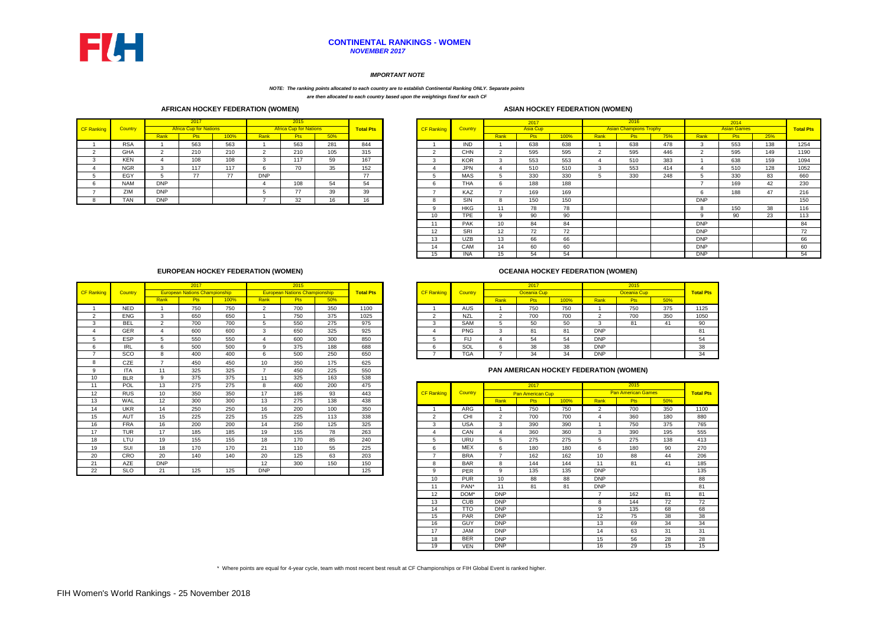### **CONTINENTAL RANKINGS - WOMEN** *NOVEMBER 2017*

### *IMPORTANT NOTE*

### *NOTE: The ranking points allocated to each country are to establish Continental Ranking ONLY. Separate points*

*are then allocated to each country based upon the weightings fixed for each CF* 

### **AFRICAN HOCKEY FEDERATION (WOMEN) ASIAN HOCKEY FEDERATION (WOMEN)**

|                   |            |                | 2017                          |      |                | 2015                          |     |                  |
|-------------------|------------|----------------|-------------------------------|------|----------------|-------------------------------|-----|------------------|
| <b>CF Ranking</b> | Country    |                | <b>Africa Cup for Nations</b> |      |                | <b>Africa Cup for Nations</b> |     | <b>Total Pts</b> |
|                   |            | Rank           | <b>Pts</b>                    | 100% | Rank           | <b>Pts</b>                    | 50% |                  |
|                   | <b>RSA</b> |                | 563                           | 563  |                | 563                           | 281 | 844              |
| $\mathfrak{p}$    | <b>GHA</b> | $\mathfrak{p}$ | 210                           | 210  | $\mathfrak{p}$ | 210                           | 105 | 315              |
| 3                 | <b>KEN</b> | 4              | 108                           | 108  | 3              | 117                           | 59  | 167              |
| 4                 | <b>NGR</b> | 3              | 117                           | 117  | 6              | 70                            | 35  | 152              |
| 5                 | EGY        | 5              | 77                            | 77   | <b>DNP</b>     |                               |     | 77               |
| 6                 | <b>NAM</b> | <b>DNP</b>     |                               |      | 4              | 108                           | 54  | 54               |
| 7                 | ZIM        | <b>DNP</b>     |                               |      | 5              | 77                            | 39  | 39               |
| 8                 | TAN        | <b>DNP</b>     |                               |      | -              | 32                            | 16  | 16               |

|        |                |            | 2017                          |      |            | 2015                          |     |                  |                   |            |      | 2017       |      |            | 2016                          |     |            | 2014               |     |                  |
|--------|----------------|------------|-------------------------------|------|------------|-------------------------------|-----|------------------|-------------------|------------|------|------------|------|------------|-------------------------------|-----|------------|--------------------|-----|------------------|
| anking | <b>Country</b> |            | <b>Africa Cup for Nations</b> |      |            | <b>Africa Cup for Nations</b> |     | <b>Total Pts</b> | <b>CF Ranking</b> | Country    |      | Asia Cup   |      |            | <b>Asian Champions Trophy</b> |     |            | <b>Asian Games</b> |     | <b>Total Pts</b> |
|        |                | Rank       | Pts                           | 100% | Rank       | <b>Pts</b>                    | 50% |                  |                   |            | Rank | <b>Pts</b> | 100% | Rank       | <b>Pts</b>                    | 75% | Rank       | <b>Pts</b>         | 25% |                  |
|        | <b>RSA</b>     |            | 563                           | 563  |            | 563                           | 281 | 844              |                   | <b>IND</b> |      | 638        | 638  |            | 638                           | 478 |            | 553                | 138 | 1254             |
|        | GHA            |            | 210                           | 210  |            | 210                           | 105 | 315              | $\sim$            | <b>CHN</b> |      | 595        | 595  | $\sqrt{2}$ | 595                           | 446 | $\sim$     | 595                | 149 | 1190             |
|        | <b>KEN</b>     |            | 108                           | 108  |            | 117                           | 59  | 167              | $\sim$            | <b>KOR</b> |      | 553        | 553  |            | 510                           | 383 |            | 638                | 159 | 1094             |
|        | <b>NGR</b>     |            | 117                           | 117  | 'n         | 70                            | 35  | 152              |                   | <b>JPN</b> |      | 510        | 510  |            | 553                           | 414 |            | 510                | 128 | 1052             |
|        | EGY            |            | 77                            | 77   | <b>DNP</b> |                               |     | 77               |                   | <b>MAS</b> |      | 330        | 330  |            | 330                           | 248 |            | 330                | 83  | 660              |
|        | <b>NAM</b>     | <b>DNP</b> |                               |      |            | 108                           | 54  | 54               | 6                 | <b>THA</b> |      | 188        | 188  |            |                               |     |            | 169                | 42  | 230              |
|        | ZIM            | <b>DNP</b> |                               |      |            | 77                            | 39  | 39               |                   | KAZ        |      | 169        | 169  |            |                               |     |            | 188                | 47  | 216              |
|        | TAN            | <b>DNP</b> |                               |      |            | 32                            | 16  | 16               | $\Omega$          | SIN        |      | 150        | 150  |            |                               |     | <b>DNP</b> |                    |     | 150              |
|        |                |            |                               |      |            |                               |     |                  |                   | <b>HKG</b> | 11   | 78         | 78   |            |                               |     |            | 150                | 38  | 116              |
|        |                |            |                               |      |            |                               |     |                  | 10                | <b>TPE</b> |      | 90         | 90   |            |                               |     | $\Omega$   | 90                 | 23  | 113              |
|        |                |            |                               |      |            |                               |     |                  | 11                | <b>PAK</b> | 10   | 84         | 84   |            |                               |     | <b>DNP</b> |                    |     | 84               |
|        |                |            |                               |      |            |                               |     |                  | 12                | SRI        | 12   | 72         | 72   |            |                               |     | <b>DNP</b> |                    |     | 72               |
|        |                |            |                               |      |            |                               |     |                  | 13                | <b>UZB</b> | 13   | 66         | 66   |            |                               |     | <b>DNP</b> |                    |     | 66               |
|        |                |            |                               |      |            |                               |     |                  | 14                | CAM        | 14   | 60         | 60   |            |                               |     | <b>DNP</b> |                    |     | 60               |
|        |                |            |                               |      |            |                               |     |                  | כו־               | <b>INA</b> | 15   | 54         | 54   |            |                               |     | <b>DNP</b> |                    |     | 54               |

### **OCEANIA HOCKEY FEDERATION (WOMEN)**

|             | 2017                                 |      |      | 2015                                 |     |                  |                   |            |      | 2017        |      |            | 2015        |     |                  |
|-------------|--------------------------------------|------|------|--------------------------------------|-----|------------------|-------------------|------------|------|-------------|------|------------|-------------|-----|------------------|
|             | <b>European Nations Championship</b> |      |      | <b>European Nations Championship</b> |     | <b>Total Pts</b> | <b>CF Ranking</b> | Country    |      | Oceania Cup |      |            | Oceania Cup |     | <b>Total Pts</b> |
| <b>Rank</b> | Pts                                  | 100% | Rank | <b>Pts</b>                           | 50% |                  |                   |            | Rank | <b>Pts</b>  | 100% | Rank       | <b>Pts</b>  | 50% |                  |
|             | 750                                  | 750  |      | 700                                  | 350 | 1100             |                   | AUS        |      | 750         | 750  |            | 750         | 375 | 1125             |
|             | 650                                  | 650  |      | <b>750</b>                           | 375 | 1025             |                   | <b>NZL</b> |      | 700         | 700  |            | 700         | 350 | 1050             |
|             | 700                                  | 700  |      | 550                                  | 275 | 975              |                   | SAM        |      | 50          | 50   |            | 81          | 41  | 90               |
|             | 600                                  | 600  |      | 65C                                  | 325 | 925              |                   | <b>PNG</b> |      | 81          | 81   | <b>DNP</b> |             |     | 81               |
|             | 550                                  | 550  |      | 60 <sub>C</sub>                      | 300 | 850              |                   | FIJ        |      | 54          | 54   | <b>DNP</b> |             |     | 54               |
| 6           | 500                                  | 500  |      | 375                                  | 188 | 688              |                   | SOL        |      | 38          | 38   | <b>DNP</b> |             |     | 38               |
| 8           | 400                                  | 400  |      | 500                                  | 250 | 650              |                   | <b>TGA</b> |      | 34          | 34   | <b>DNP</b> |             |     | 34               |

### **PAN AMERICAN HOCKEY FEDERATION (WOMEN)**

|                   |            |                | 2017                    |      |                | 2015                      |     |                  |
|-------------------|------------|----------------|-------------------------|------|----------------|---------------------------|-----|------------------|
| <b>CF Ranking</b> | Country    |                | <b>Pan American Cup</b> |      |                | <b>Pan American Games</b> |     | <b>Total Pts</b> |
|                   |            | Rank           | <b>Pts</b>              | 100% | Rank           | <b>Pts</b>                | 50% |                  |
| 1                 | ARG        | 1              | 750                     | 750  | $\overline{2}$ | 700                       | 350 | 1100             |
| $\overline{2}$    | <b>CHI</b> | $\overline{2}$ | 700                     | 700  | 4              | 360                       | 180 | 880              |
| 3                 | <b>USA</b> | 3              | 390                     | 390  | 1              | 750                       | 375 | 765              |
| 4                 | CAN        | $\overline{4}$ | 360                     | 360  | 3              | 390                       | 195 | 555              |
| 5                 | URU        | 5              | 275                     | 275  | 5              | 275                       | 138 | 413              |
| 6                 | <b>MEX</b> | 6              | 180                     | 180  | 6              | 180                       | 90  | 270              |
| $\overline{7}$    | <b>BRA</b> | $\overline{7}$ | 162                     | 162  | 10             | 88                        | 44  | 206              |
| 8                 | <b>BAR</b> | 8              | 144                     | 144  | 11             | 81                        | 41  | 185              |
| 9                 | <b>PER</b> | 9              | 135                     | 135  | <b>DNP</b>     |                           |     | 135              |
| 10                | <b>PUR</b> | 10             | 88                      | 88   | <b>DNP</b>     |                           |     | 88               |
| 11                | PAN*       | 11             | 81                      | 81   | <b>DNP</b>     |                           |     | 81               |
| 12                | DOM*       | <b>DNP</b>     |                         |      | 7              | 162                       | 81  | 81               |
| 13                | <b>CUB</b> | <b>DNP</b>     |                         |      | 8              | 144                       | 72  | 72               |
| 14                | TTO        | <b>DNP</b>     |                         |      | 9              | 135                       | 68  | 68               |
| 15                | PAR        | <b>DNP</b>     |                         |      | 12             | 75                        | 38  | 38               |
| 16                | <b>GUY</b> | <b>DNP</b>     |                         |      | 13             | 69                        | 34  | 34               |
| 17                | <b>JAM</b> | <b>DNP</b>     |                         |      | 14             | 63                        | 31  | 31               |
| 18                | <b>BER</b> | <b>DNP</b>     |                         |      | 15             | 56                        | 28  | 28               |
| 19                | <b>VEN</b> | <b>DNP</b>     |                         |      | 16             | 29                        | 15  | 15               |

| * Where points are equal for 4-year cycle, team with most recent best result at CF Championships or FIH Global Event is ranked higher. |  |  |  |
|----------------------------------------------------------------------------------------------------------------------------------------|--|--|--|
|----------------------------------------------------------------------------------------------------------------------------------------|--|--|--|

### **EUROPEAN HOCKEY FEDERATION (WOMEN)**

| CF Ranking     |            |                | 2015<br>2017<br><b>Total Pts</b><br><b>CF Ranking</b><br><b>European Nations Championship</b><br><b>European Nations Championship</b><br>Country |      |                |            |     |      |  |                   |            | 2017           |                         |      | 2015           |                                        |     |                |
|----------------|------------|----------------|--------------------------------------------------------------------------------------------------------------------------------------------------|------|----------------|------------|-----|------|--|-------------------|------------|----------------|-------------------------|------|----------------|----------------------------------------|-----|----------------|
|                | Country    |                |                                                                                                                                                  |      |                |            |     |      |  |                   |            |                | <b>Oceania Cup</b>      |      |                | Oceania Cup                            |     | <b>Total P</b> |
|                |            | Rank           | <b>Pts</b>                                                                                                                                       | 100% | Rank           | <b>Pts</b> | 50% |      |  |                   |            | Rank           | <b>Pts</b>              | 100% | Rank           | Pts                                    | 50% |                |
|                | <b>NED</b> |                | 750                                                                                                                                              | 750  | $\overline{2}$ | 700        | 350 | 1100 |  |                   | <b>AUS</b> |                | 750                     | 750  |                | 750                                    | 375 | 1125           |
| $\overline{2}$ | <b>ENG</b> | 3              | 650                                                                                                                                              | 650  |                | 750        | 375 | 1025 |  | $\overline{2}$    | <b>NZL</b> | $\overline{2}$ | 700                     | 700  | $\overline{2}$ | 700                                    | 350 | 1050           |
| 3              | <b>BEL</b> | $\overline{2}$ | 700                                                                                                                                              | 700  | 5              | 550        | 275 | 975  |  | 3                 | SAM        | 5              | 50                      | 50   | 3              | 81                                     | 41  | 90             |
|                | <b>GER</b> | $\Delta$       | 600                                                                                                                                              | 600  | 3              | 650        | 325 | 925  |  |                   | PNG        | 3              | 81                      | 81   | <b>DNP</b>     |                                        |     | 81             |
| 5              | <b>ESP</b> | 5              | 550                                                                                                                                              | 550  | $\overline{A}$ | 600        | 300 | 850  |  | 5                 | <b>FIJ</b> |                | 54                      | 54   | <b>DNP</b>     |                                        |     | 54             |
| 6              | <b>IRL</b> | 6              | 500                                                                                                                                              | 500  | 9              | 375        | 188 | 688  |  | 6                 | SOL        | 6              | 38                      | 38   | <b>DNP</b>     |                                        |     | 38             |
| $\overline{ }$ | SCO        | 8              | 400                                                                                                                                              | 400  | 6              | 500        | 250 | 650  |  |                   | <b>TGA</b> | $\rightarrow$  | 34                      | 34   | <b>DNP</b>     |                                        |     | 34             |
| 8              | CZE        | $\overline{z}$ | 450                                                                                                                                              | 450  | 10             | 350        | 175 | 625  |  |                   |            |                |                         |      |                |                                        |     |                |
| 9              | <b>ITA</b> | 11             | 325                                                                                                                                              | 325  | $\overline{7}$ | 450        | 225 | 550  |  |                   |            |                |                         |      |                | PAN AMERICAN HOCKEY FEDERATION (WOMEN) |     |                |
| 10             | <b>BLR</b> | 9              | 375                                                                                                                                              | 375  | 11             | 325        | 163 | 538  |  |                   |            |                |                         |      |                |                                        |     |                |
| 11             | POL        | 13             | 275                                                                                                                                              | 275  | 8              | 400        | 200 | 475  |  |                   |            |                | 2017                    |      |                | 2015                                   |     |                |
|                |            |                |                                                                                                                                                  |      |                |            |     |      |  |                   |            |                |                         |      |                |                                        |     |                |
| 12             | <b>RUS</b> | 10             | 350                                                                                                                                              | 350  | 17             | 185        | 93  | 443  |  | <b>CF Ranking</b> | Country    |                | <b>Pan American Cup</b> |      |                | <b>Pan American Games</b>              |     | <b>Total P</b> |
| 13             | WAL        | 12             | 300                                                                                                                                              | 300  | 13             | 275        | 138 | 438  |  |                   |            | Rank           | Pts                     | 100% | Rank           | <b>Pts</b>                             | 50% |                |
| 14             | <b>UKR</b> | 14             | 250                                                                                                                                              | 250  | 16             | 200        | 100 | 350  |  |                   | <b>ARG</b> |                | 750                     | 750  | $\overline{2}$ | 700                                    | 350 | 1100           |
| 15             | AUT        | 15             | 225                                                                                                                                              | 225  | 15             | 225        | 113 | 338  |  | $\overline{2}$    | CHI        | $\overline{2}$ | 700                     | 700  |                | 360                                    | 180 | 880            |
| 16             | <b>FRA</b> | 16             | 200                                                                                                                                              | 200  | 14             | 250        | 125 | 325  |  | 3                 | <b>USA</b> | 3              | 390                     | 390  |                | 750                                    | 375 | 765            |
| 17             | <b>TUR</b> | 17             | 185                                                                                                                                              | 185  | 19             | 155        | 78  | 263  |  |                   | CAN        | 4              | 360                     | 360  | 3              | 390                                    | 195 | 555            |
| 18             | <b>LTU</b> | 19             | 155                                                                                                                                              | 155  | 18             | 170        | 85  | 240  |  | 5                 | URU        | 5              | 275                     | 275  | 5              | 275                                    | 138 | 413            |
| 19             | SUI        | 18             | 170                                                                                                                                              | 170  | 21             | 110        | 55  | 225  |  | 6                 | <b>MEX</b> | 6              | 180                     | 180  | 6              | 180                                    | 90  | 270            |
| 20             | CRO        | 20             | 140                                                                                                                                              | 140  | 20             | 125        | 63  | 203  |  |                   | <b>BRA</b> | $\rightarrow$  | 162                     | 162  | 10             | 88                                     | 44  | 206            |
| 21             | AZE        | <b>DNP</b>     |                                                                                                                                                  |      | 12             | 300        | 150 | 150  |  | 8                 | <b>BAR</b> | 8              | 144                     | 144  | 11             | 81                                     | 41  | 185            |